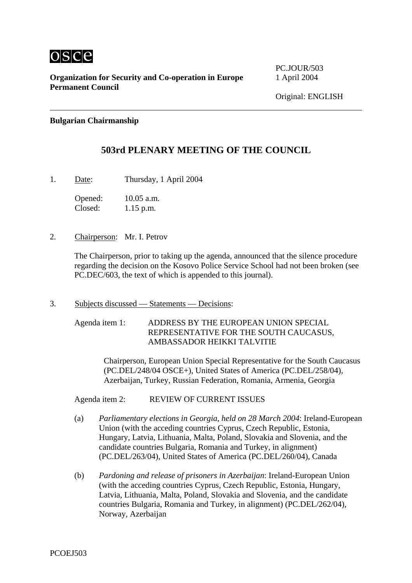

**Organization for Security and Co-operation in Europe** 1 April 2004 **Permanent Council** 

PC.JOUR/503

## **Bulgarian Chairmanship**

## **503rd PLENARY MEETING OF THE COUNCIL**

1. Date: Thursday, 1 April 2004

Opened: 10.05 a.m. Closed: 1.15 p.m.

2. Chairperson: Mr. I. Petrov

The Chairperson, prior to taking up the agenda, announced that the silence procedure regarding the decision on the Kosovo Police Service School had not been broken (see PC.DEC/603, the text of which is appended to this journal).

3. Subjects discussed — Statements — Decisions:

Agenda item 1: ADDRESS BY THE EUROPEAN UNION SPECIAL REPRESENTATIVE FOR THE SOUTH CAUCASUS, AMBASSADOR HEIKKI TALVITIE

> Chairperson, European Union Special Representative for the South Caucasus (PC.DEL/248/04 OSCE+), United States of America (PC.DEL/258/04), Azerbaijan, Turkey, Russian Federation, Romania, Armenia, Georgia

Agenda item 2: REVIEW OF CURRENT ISSUES

- (a) *Parliamentary elections in Georgia, held on 28 March 2004*: Ireland-European Union (with the acceding countries Cyprus, Czech Republic, Estonia, Hungary, Latvia, Lithuania, Malta, Poland, Slovakia and Slovenia, and the candidate countries Bulgaria, Romania and Turkey, in alignment) (PC.DEL/263/04), United States of America (PC.DEL/260/04), Canada
- (b) *Pardoning and release of prisoners in Azerbaijan*: Ireland-European Union (with the acceding countries Cyprus, Czech Republic, Estonia, Hungary, Latvia, Lithuania, Malta, Poland, Slovakia and Slovenia, and the candidate countries Bulgaria, Romania and Turkey, in alignment) (PC.DEL/262/04), Norway, Azerbaijan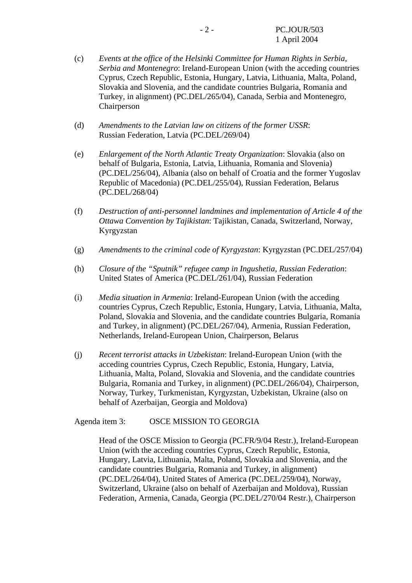- (c) *Events at the office of the Helsinki Committee for Human Rights in Serbia, Serbia and Montenegro*: Ireland-European Union (with the acceding countries Cyprus, Czech Republic, Estonia, Hungary, Latvia, Lithuania, Malta, Poland, Slovakia and Slovenia, and the candidate countries Bulgaria, Romania and Turkey, in alignment) (PC.DEL/265/04), Canada, Serbia and Montenegro, Chairperson
- (d) *Amendments to the Latvian law on citizens of the former USSR*: Russian Federation, Latvia (PC.DEL/269/04)
- (e) *Enlargement of the North Atlantic Treaty Organization*: Slovakia (also on behalf of Bulgaria, Estonia, Latvia, Lithuania, Romania and Slovenia) (PC.DEL/256/04), Albania (also on behalf of Croatia and the former Yugoslav Republic of Macedonia) (PC.DEL/255/04), Russian Federation, Belarus (PC.DEL/268/04)
- (f) *Destruction of anti-personnel landmines and implementation of Article 4 of the Ottawa Convention by Tajikistan*: Tajikistan, Canada, Switzerland, Norway, Kyrgyzstan
- (g) *Amendments to the criminal code of Kyrgyzstan*: Kyrgyzstan (PC.DEL/257/04)
- (h) *Closure of the "Sputnik" refugee camp in Ingushetia, Russian Federation*: United States of America (PC.DEL/261/04), Russian Federation
- (i) *Media situation in Armenia*: Ireland-European Union (with the acceding countries Cyprus, Czech Republic, Estonia, Hungary, Latvia, Lithuania, Malta, Poland, Slovakia and Slovenia, and the candidate countries Bulgaria, Romania and Turkey, in alignment) (PC.DEL/267/04), Armenia, Russian Federation, Netherlands, Ireland-European Union, Chairperson, Belarus
- (j) *Recent terrorist attacks in Uzbekistan*: Ireland-European Union (with the acceding countries Cyprus, Czech Republic, Estonia, Hungary, Latvia, Lithuania, Malta, Poland, Slovakia and Slovenia, and the candidate countries Bulgaria, Romania and Turkey, in alignment) (PC.DEL/266/04), Chairperson, Norway, Turkey, Turkmenistan, Kyrgyzstan, Uzbekistan, Ukraine (also on behalf of Azerbaijan, Georgia and Moldova)

Agenda item 3: OSCE MISSION TO GEORGIA

Head of the OSCE Mission to Georgia (PC.FR/9/04 Restr.), Ireland-European Union (with the acceding countries Cyprus, Czech Republic, Estonia, Hungary, Latvia, Lithuania, Malta, Poland, Slovakia and Slovenia, and the candidate countries Bulgaria, Romania and Turkey, in alignment) (PC.DEL/264/04), United States of America (PC.DEL/259/04), Norway, Switzerland, Ukraine (also on behalf of Azerbaijan and Moldova), Russian Federation, Armenia, Canada, Georgia (PC.DEL/270/04 Restr.), Chairperson